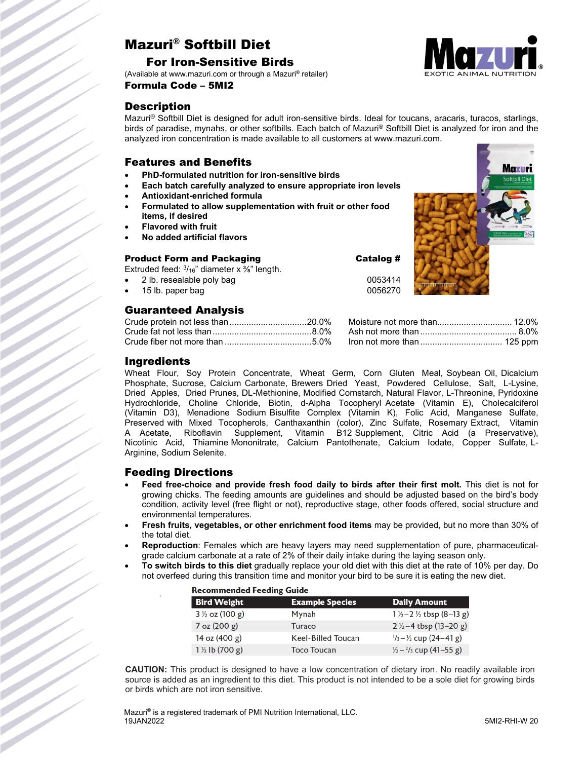# Mazuri® Softbill Diet

### For Iron-Sensitive Birds

(Available at www.mazuri.com or through a Mazuri® retailer) Formula Code – 5MI2

# **Description**

Mazuri® Softbill Diet is designed for adult iron-sensitive birds. Ideal for toucans, aracaris, turacos, starlings, birds of paradise, mynahs, or other softbills. Each batch of Mazuri® Softbill Diet is analyzed for iron and the analyzed iron concentration is made available to all customers at www.mazuri.com.

## Features and Benefits

- **PhD-formulated nutrition for iron-sensitive birds**
- **Each batch carefully analyzed to ensure appropriate iron levels**
- **Antioxidant-enriched formula**
- **Formulated to allow supplementation with fruit or other food items, if desired**
- **Flavored with fruit**
- **No added artificial flavors**

#### Product Form and Packaging The Catalog #

Extruded feed:  $\frac{3}{16}$ " diameter x  $\frac{3}{8}$ " length.

- 2 lb. resealable poly bag 0053414
- 15 lb. paper bag

# Guaranteed Analysis

| Crude fiber not more than 5.0% Iron not more than  125 ppm |  |
|------------------------------------------------------------|--|

#### **Ingredients**

Wheat Flour, Soy Protein Concentrate, Wheat Germ, Corn Gluten Meal, Soybean Oil, Dicalcium Phosphate, Sucrose, Calcium Carbonate, Brewers Dried Yeast, Powdered Cellulose, Salt, L-Lysine, Dried Apples, Dried Prunes, DL-Methionine, Modified Cornstarch, Natural Flavor, L-Threonine, Pyridoxine Hydrochloride, Choline Chloride, Biotin, d-Alpha Tocopheryl Acetate (Vitamin E), Cholecalciferol (Vitamin D3), Menadione Sodium Bisulfite Complex (Vitamin K), Folic Acid, Manganese Sulfate, Preserved with Mixed Tocopherols, Canthaxanthin (color), Zinc Sulfate, Rosemary Extract, Vitamin Acetate, Riboflavin Supplement, Vitamin B12 Supplement, Citric Acid (a Preservative), Nicotinic Acid, Thiamine Mononitrate, Calcium Pantothenate, Calcium Iodate, Copper Sulfate, L-Arginine, Sodium Selenite.

## Feeding Directions

.

- **Feed free-choice and provide fresh food daily to birds after their first molt.** This diet is not for growing chicks. The feeding amounts are guidelines and should be adjusted based on the bird's body condition, activity level (free flight or not), reproductive stage, other foods offered, social structure and environmental temperatures.
- **Fresh fruits, vegetables, or other enrichment food items** may be provided, but no more than 30% of the total diet.
- **Reproduction**: Females which are heavy layers may need supplementation of pure, pharmaceuticalgrade calcium carbonate at a rate of 2% of their daily intake during the laying season only.
- **To switch birds to this diet** gradually replace your old diet with this diet at the rate of 10% per day. Do not overfeed during this transition time and monitor your bird to be sure it is eating the new diet.

| <b>Recommended Feeding Guide</b> |                           |                                             |  |  |  |
|----------------------------------|---------------------------|---------------------------------------------|--|--|--|
| <b>Bird Weight</b>               | <b>Example Species</b>    | <b>Daily Amount</b>                         |  |  |  |
| $3\frac{1}{2}$ oz (100 g)        | Mynah                     | $1\frac{1}{2} - 2\frac{1}{2}$ tbsp (8-13 g) |  |  |  |
| $7$ oz $(200 g)$                 | Turaco                    | $2\frac{1}{2}$ -4 tbsp (13-20 g)            |  |  |  |
| 14 oz (400 g)                    | <b>Keel-Billed Toucan</b> | $\frac{1}{3} - \frac{1}{2}$ cup (24-41 g)   |  |  |  |
| $1\frac{1}{2}$ lb (700 g)        | <b>Toco Toucan</b>        | $\frac{1}{2} - \frac{2}{3}$ cup (41–55 g)   |  |  |  |

**CAUTION:** This product is designed to have a low concentration of dietary iron. No readily available iron source is added as an ingredient to this diet. This product is not intended to be a sole diet for growing birds or birds which are not iron sensitive.

Mazuri® is a registered trademark of PMI Nutrition International, LLC. 19JAN2022 5MI2-RHI-W 20



Mazuri